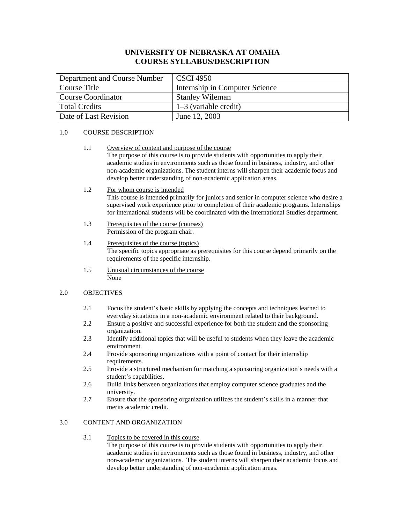# **UNIVERSITY OF NEBRASKA AT OMAHA COURSE SYLLABUS/DESCRIPTION**

| Department and Course Number | CSCI 4950                      |
|------------------------------|--------------------------------|
| Course Title                 | Internship in Computer Science |
| Course Coordinator           | <b>Stanley Wileman</b>         |
| <b>Total Credits</b>         | $1-3$ (variable credit)        |
| Date of Last Revision        | June 12, 2003                  |

#### 1.0 COURSE DESCRIPTION

- 1.1 Overview of content and purpose of the course The purpose of this course is to provide students with opportunities to apply their academic studies in environments such as those found in business, industry, and other non-academic organizations. The student interns will sharpen their academic focus and develop better understanding of non-academic application areas.
- 1.2 For whom course is intended

This course is intended primarily for juniors and senior in computer science who desire a supervised work experience prior to completion of their academic programs. Internships for international students will be coordinated with the International Studies department.

- 1.3 Prerequisites of the course (courses) Permission of the program chair.
- 1.4 Prerequisites of the course (topics) The specific topics appropriate as prerequisites for this course depend primarily on the requirements of the specific internship.
- 1.5 Unusual circumstances of the course None

#### 2.0 OBJECTIVES

- 2.1 Focus the student's basic skills by applying the concepts and techniques learned to everyday situations in a non-academic environment related to their background.
- 2.2 Ensure a positive and successful experience for both the student and the sponsoring organization.
- 2.3 Identify additional topics that will be useful to students when they leave the academic environment.
- 2.4 Provide sponsoring organizations with a point of contact for their internship requirements.
- 2.5 Provide a structured mechanism for matching a sponsoring organization's needs with a student's capabilities.
- 2.6 Build links between organizations that employ computer science graduates and the university.
- 2.7 Ensure that the sponsoring organization utilizes the student's skills in a manner that merits academic credit.

## 3.0 CONTENT AND ORGANIZATION

## 3.1 Topics to be covered in this course

The purpose of this course is to provide students with opportunities to apply their academic studies in environments such as those found in business, industry, and other non-academic organizations. The student interns will sharpen their academic focus and develop better understanding of non-academic application areas.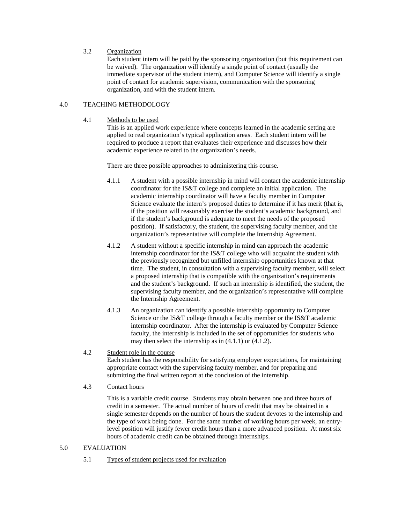### 3.2 Organization

Each student intern will be paid by the sponsoring organization (but this requirement can be waived). The organization will identify a single point of contact (usually the immediate supervisor of the student intern), and Computer Science will identify a single point of contact for academic supervision, communication with the sponsoring organization, and with the student intern.

#### 4.0 TEACHING METHODOLOGY

4.1 Methods to be used

This is an applied work experience where concepts learned in the academic setting are applied to real organization's typical application areas. Each student intern will be required to produce a report that evaluates their experience and discusses how their academic experience related to the organization's needs.

There are three possible approaches to administering this course.

- 4.1.1 A student with a possible internship in mind will contact the academic internship coordinator for the IS&T college and complete an initial application. The academic internship coordinator will have a faculty member in Computer Science evaluate the intern's proposed duties to determine if it has merit (that is, if the position will reasonably exercise the student's academic background, and if the student's background is adequate to meet the needs of the proposed position). If satisfactory, the student, the supervising faculty member, and the organization's representative will complete the Internship Agreement.
- 4.1.2 A student without a specific internship in mind can approach the academic internship coordinator for the IS&T college who will acquaint the student with the previously recognized but unfilled internship opportunities known at that time. The student, in consultation with a supervising faculty member, will select a proposed internship that is compatible with the organization's requirements and the student's background. If such an internship is identified, the student, the supervising faculty member, and the organization's representative will complete the Internship Agreement.
- 4.1.3 An organization can identify a possible internship opportunity to Computer Science or the IS&T college through a faculty member or the IS&T academic internship coordinator. After the internship is evaluated by Computer Science faculty, the internship is included in the set of opportunities for students who may then select the internship as in (4.1.1) or (4.1.2).
- 4.2 Student role in the course Each student has the responsibility for satisfying employer expectations, for maintaining appropriate contact with the supervising faculty member, and for preparing and submitting the final written report at the conclusion of the internship.
- 4.3 Contact hours

This is a variable credit course. Students may obtain between one and three hours of credit in a semester. The actual number of hours of credit that may be obtained in a single semester depends on the number of hours the student devotes to the internship and the type of work being done. For the same number of working hours per week, an entrylevel position will justify fewer credit hours than a more advanced position. At most six hours of academic credit can be obtained through internships.

#### 5.0 EVALUATION

5.1 Types of student projects used for evaluation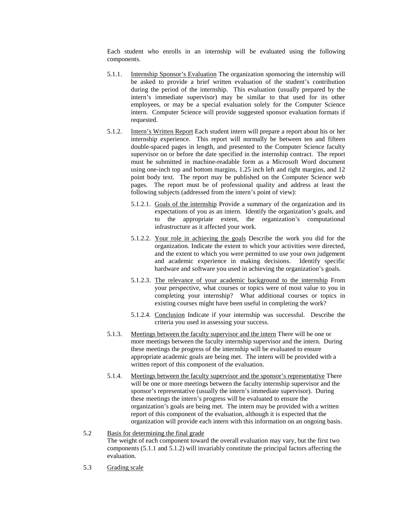Each student who enrolls in an internship will be evaluated using the following components.

- 5.1.1. Internship Sponsor's Evaluation The organization sponsoring the internship will be asked to provide a brief written evaluation of the student's contribution during the period of the internship. This evaluation (usually prepared by the intern's immediate supervisor) may be similar to that used for its other employees, or may be a special evaluation solely for the Computer Science intern. Computer Science will provide suggested sponsor evaluation formats if requested.
- 5.1.2. Intern's Written Report Each student intern will prepare a report about his or her internship experience. This report will normally be between ten and fifteen double-spaced pages in length, and presented to the Computer Science faculty supervisor on or before the date specified in the internship contract. The report must be submitted in machine-readable form as a Microsoft Word document using one-inch top and bottom margins, 1.25 inch left and right margins, and 12 point body text. The report may be published on the Computer Science web pages. The report must be of professional quality and address at least the following subjects (addressed from the intern's point of view):
	- 5.1.2.1. Goals of the internship Provide a summary of the organization and its expectations of you as an intern. Identify the organization's goals, and to the appropriate extent, the organization's computational infrastructure as it affected your work.
	- 5.1.2.2. Your role in achieving the goals Describe the work you did for the organization. Indicate the extent to which your activities were directed, and the extent to which you were permitted to use your own judgement and academic experience in making decisions. Identify specific hardware and software you used in achieving the organization's goals.
	- 5.1.2.3. The relevance of your academic background to the internship From your perspective, what courses or topics were of most value to you in completing your internship? What additional courses or topics in existing courses might have been useful in completing the work?
	- 5.1.2.4. Conclusion Indicate if your internship was successful. Describe the criteria you used in assessing your success.
- 5.1.3. Meetings between the faculty supervisor and the intern There will be one or more meetings between the faculty internship supervisor and the intern. During these meetings the progress of the internship will be evaluated to ensure appropriate academic goals are being met. The intern will be provided with a written report of this component of the evaluation.
- 5.1.4. Meetings between the faculty supervisor and the sponsor's representative There will be one or more meetings between the faculty internship supervisor and the sponsor's representative (usually the intern's immediate supervisor). During these meetings the intern's progress will be evaluated to ensure the organization's goals are being met. The intern may be provided with a written report of this component of the evaluation, although it is expected that the organization will provide each intern with this information on an ongoing basis.

### 5.2 Basis for determining the final grade

The weight of each component toward the overall evaluation may vary, but the first two components (5.1.1 and 5.1.2) will invariably constitute the principal factors affecting the evaluation.

5.3 Grading scale